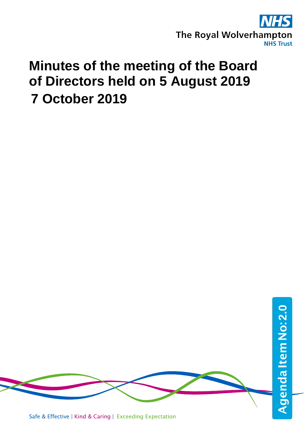

# **Minutes of the meeting of the Board of Directors held on 5 August 2019 7 October 2019**

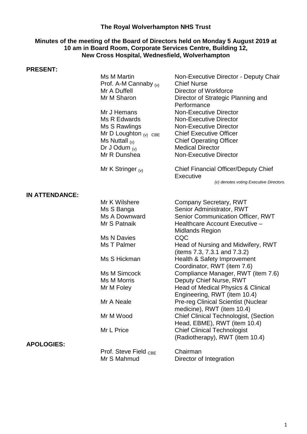## **The Royal Wolverhampton NHS Trust**

#### **Minutes of the meeting of the Board of Directors held on Monday 5 August 2019 at 10 am in Board Room, Corporate Services Centre, Building 12, New Cross Hospital, Wednesfield, Wolverhampton**

#### **PRESENT:**

|                       | Ms M Martin<br>Prof. A-M Cannaby $(v)$<br>Mr A Duffell<br>Mr M Sharon<br>Mr J Hemans<br>Ms R Edwards<br>Ms S Rawlings<br>Mr D Loughton $(v)$ CBE<br>Ms Nuttall $(v)$<br>Dr J Odum $(v)$<br>Mr R Dunshea | Non-Executive Director - Deputy Chair<br><b>Chief Nurse</b><br>Director of Workforce<br>Director of Strategic Planning and<br>Performance<br><b>Non-Executive Director</b><br><b>Non-Executive Director</b><br><b>Non-Executive Director</b><br><b>Chief Executive Officer</b><br><b>Chief Operating Officer</b><br><b>Medical Director</b><br><b>Non-Executive Director</b> |
|-----------------------|---------------------------------------------------------------------------------------------------------------------------------------------------------------------------------------------------------|------------------------------------------------------------------------------------------------------------------------------------------------------------------------------------------------------------------------------------------------------------------------------------------------------------------------------------------------------------------------------|
|                       | Mr K Stringer $_{(v)}$                                                                                                                                                                                  | <b>Chief Financial Officer/Deputy Chief</b><br><b>Executive</b><br>(v) denotes voting Executive Directors.                                                                                                                                                                                                                                                                   |
| <b>IN ATTENDANCE:</b> |                                                                                                                                                                                                         |                                                                                                                                                                                                                                                                                                                                                                              |
|                       | Mr K Wilshere                                                                                                                                                                                           | Company Secretary, RWT                                                                                                                                                                                                                                                                                                                                                       |
|                       | Ms S Banga                                                                                                                                                                                              | Senior Administrator, RWT                                                                                                                                                                                                                                                                                                                                                    |
|                       | Ms A Downward                                                                                                                                                                                           | <b>Senior Communication Officer, RWT</b>                                                                                                                                                                                                                                                                                                                                     |
|                       | Mr S Patnaik                                                                                                                                                                                            | Healthcare Account Executive -<br><b>Midlands Region</b>                                                                                                                                                                                                                                                                                                                     |
|                       | Ms N Davies                                                                                                                                                                                             | CQC                                                                                                                                                                                                                                                                                                                                                                          |
|                       | Ms T Palmer                                                                                                                                                                                             | Head of Nursing and Midwifery, RWT<br>(items 7.3, 7.3.1 and 7.3.2)                                                                                                                                                                                                                                                                                                           |
|                       | Ms S Hickman                                                                                                                                                                                            | Health & Safety Improvement<br>Coordinator, RWT (item 7.6)                                                                                                                                                                                                                                                                                                                   |
|                       | Ms M Simcock                                                                                                                                                                                            | Compliance Manager, RWT (item 7.6)                                                                                                                                                                                                                                                                                                                                           |
|                       | Ms M Morris                                                                                                                                                                                             | Deputy Chief Nurse, RWT                                                                                                                                                                                                                                                                                                                                                      |
|                       | Mr M Foley                                                                                                                                                                                              | Head of Medical Physics & Clinical<br>Engineering, RWT (item 10.4)                                                                                                                                                                                                                                                                                                           |
|                       | Mr A Neale                                                                                                                                                                                              | <b>Pre-reg Clinical Scientist (Nuclear</b><br>medicine), RWT (item 10.4)                                                                                                                                                                                                                                                                                                     |
|                       | Mr M Wood                                                                                                                                                                                               | <b>Chief Clinical Technologist, (Section</b><br>Head, EBME), RWT (item 10.4)                                                                                                                                                                                                                                                                                                 |
|                       | Mr L Price                                                                                                                                                                                              | <b>Chief Clinical Technologist</b><br>(Radiotherapy), RWT (item 10.4)                                                                                                                                                                                                                                                                                                        |
| <b>APOLOGIES:</b>     |                                                                                                                                                                                                         |                                                                                                                                                                                                                                                                                                                                                                              |
|                       | Prof. Steve Field <sub>CBE</sub><br>Mr S Mahmud                                                                                                                                                         | Chairman<br>Director of Integration                                                                                                                                                                                                                                                                                                                                          |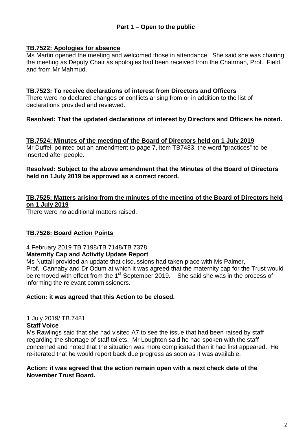## **Part 1 – Open to the public**

#### **TB.7522: Apologies for absence**

Ms Martin opened the meeting and welcomed those in attendance. She said she was chairing the meeting as Deputy Chair as apologies had been received from the Chairman, Prof. Field, and from Mr Mahmud.

#### **TB.7523: To receive declarations of interest from Directors and Officers**

There were no declared changes or conflicts arising from or in addition to the list of declarations provided and reviewed.

## **Resolved: That the updated declarations of interest by Directors and Officers be noted.**

**TB.7524: Minutes of the meeting of the Board of Directors held on 1 July 2019** Mr Duffell pointed out an amendment to page 7, item TB7483, the word "practices" to be inserted after people.

#### **Resolved: Subject to the above amendment that the Minutes of the Board of Directors held on 1July 2019 be approved as a correct record.**

## **TB.7525: Matters arising from the minutes of the meeting of the Board of Directors held on 1 July 2019**

There were no additional matters raised.

## **TB.7526: Board Action Points**

4 February 2019 TB 7198/TB 7148/TB 7378

#### **Maternity Cap and Activity Update Report**

Ms Nuttall provided an update that discussions had taken place with Ms Palmer, Prof. Cannaby and Dr Odum at which it was agreed that the maternity cap for the Trust would be removed with effect from the 1<sup>st</sup> September 2019. She said she was in the process of informing the relevant commissioners.

#### **Action: it was agreed that this Action to be closed.**

## 1 July 2019/ TB.7481

#### **Staff Voice**

Ms Rawlings said that she had visited A7 to see the issue that had been raised by staff regarding the shortage of staff toilets. Mr Loughton said he had spoken with the staff concerned and noted that the situation was more complicated than it had first appeared. He re-iterated that he would report back due progress as soon as it was available.

#### **Action: it was agreed that the action remain open with a next check date of the November Trust Board.**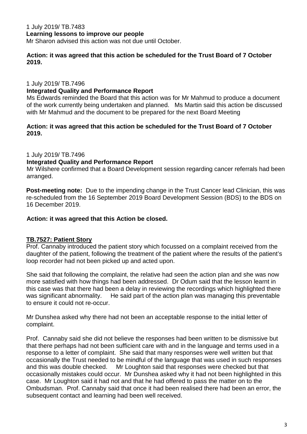## 1 July 2019/ TB.7483 **Learning lessons to improve our people**

Mr Sharon advised this action was not due until October.

#### **Action: it was agreed that this action be scheduled for the Trust Board of 7 October 2019.**

1 July 2019/ TB.7496

### **Integrated Quality and Performance Report**

Ms Edwards reminded the Board that this action was for Mr Mahmud to produce a document of the work currently being undertaken and planned. Ms Martin said this action be discussed with Mr Mahmud and the document to be prepared for the next Board Meeting

### **Action: it was agreed that this action be scheduled for the Trust Board of 7 October 2019.**

1 July 2019/ TB.7496

### **Integrated Quality and Performance Report**

Mr Wilshere confirmed that a Board Development session regarding cancer referrals had been arranged.

**Post-meeting note:** Due to the impending change in the Trust Cancer lead Clinician, this was re-scheduled from the 16 September 2019 Board Development Session (BDS) to the BDS on 16 December 2019.

## **Action: it was agreed that this Action be closed.**

## **TB.7527: Patient Story**

Prof. Cannaby introduced the patient story which focussed on a complaint received from the daughter of the patient, following the treatment of the patient where the results of the patient's loop recorder had not been picked up and acted upon.

She said that following the complaint, the relative had seen the action plan and she was now more satisfied with how things had been addressed. Dr Odum said that the lesson learnt in this case was that there had been a delay in reviewing the recordings which highlighted there was significant abnormality. He said part of the action plan was managing this preventable to ensure it could not re-occur.

Mr Dunshea asked why there had not been an acceptable response to the initial letter of complaint.

Prof. Cannaby said she did not believe the responses had been written to be dismissive but that there perhaps had not been sufficient care with and in the language and terms used in a response to a letter of complaint. She said that many responses were well written but that occasionally the Trust needed to be mindful of the language that was used in such responses and this was double checked. Mr Loughton said that responses were checked but that occasionally mistakes could occur. Mr Dunshea asked why it had not been highlighted in this case. Mr Loughton said it had not and that he had offered to pass the matter on to the Ombudsman. Prof. Cannaby said that once it had been realised there had been an error, the subsequent contact and learning had been well received.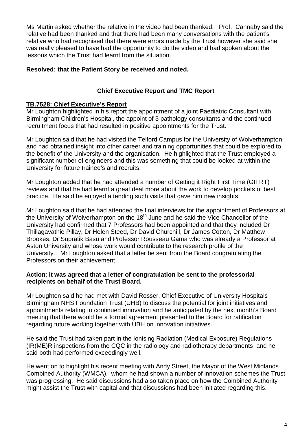Ms Martin asked whether the relative in the video had been thanked. Prof. Cannaby said the relative had been thanked and that there had been many conversations with the patient's relative who had recognised that there were errors made by the Trust however she said she was really pleased to have had the opportunity to do the video and had spoken about the lessons which the Trust had learnt from the situation.

## **Resolved: that the Patient Story be received and noted.**

## **Chief Executive Report and TMC Report**

## **TB.7528: Chief Executive's Report**

Mr Loughton highlighted in his report the appointment of a joint Paediatric Consultant with Birmingham Children's Hospital, the appoint of 3 pathology consultants and the continued recruitment focus that had resulted in positive appointments for the Trust.

Mr Loughton said that he had visited the Telford Campus for the University of Wolverhampton and had obtained insight into other career and training opportunities that could be explored to the benefit of the University and the organisation. He highlighted that the Trust employed a significant number of engineers and this was something that could be looked at within the University for future trainee's and recruits.

Mr Loughton added that he had attended a number of Getting it Right First Time (GIFRT) reviews and that he had learnt a great deal more about the work to develop pockets of best practice. He said he enjoyed attending such visits that gave him new insights.

Mr Loughton said that he had attended the final interviews for the appointment of Professors at the University of Wolverhampton on the  $18<sup>th</sup>$  June and he said the Vice Chancellor of the University had confirmed that 7 Professors had been appointed and that they included Dr Thillagavathie Pillay, Dr Helen Steed, Dr David Churchill, Dr James Cotton, Dr Matthew Brookes, Dr Supratik Basu and Professor Rousseau Gama who was already a Professor at Aston University and whose work would contribute to the research profile of the University. Mr Loughton asked that a letter be sent from the Board congratulating the Professors on their achievement.

#### **Action**: **it was agreed that a letter of congratulation be sent to the professorial recipients on behalf of the Trust Board.**

Mr Loughton said he had met with David Rosser, Chief Executive of University Hospitals Birmingham NHS Foundation Trust (UHB) to discuss the potential for joint initiatives and appointments relating to continued innovation and he anticipated by the next month's Board meeting that there would be a formal agreement presented to the Board for ratification regarding future working together with UBH on innovation initiatives.

He said the Trust had taken part in the Ionising Radiation (Medical Exposure) Regulations (IR(ME)R inspections from the CQC in the radiology and radiotherapy departments and he said both had performed exceedingly well.

He went on to highlight his recent meeting with Andy Street, the Mayor of the West Midlands Combined Authority (WMCA), whom he had shown a number of innovation schemes the Trust was progressing. He said discussions had also taken place on how the Combined Authority might assist the Trust with capital and that discussions had been initiated regarding this.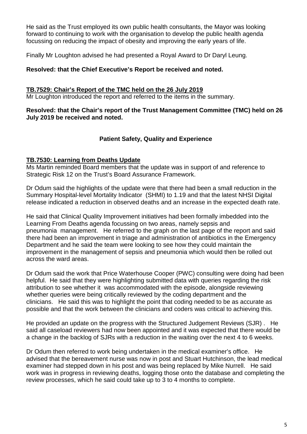He said as the Trust employed its own public health consultants, the Mayor was looking forward to continuing to work with the organisation to develop the public health agenda focussing on reducing the impact of obesity and improving the early years of life.

Finally Mr Loughton advised he had presented a Royal Award to Dr Daryl Leung.

## **Resolved: that the Chief Executive's Report be received and noted.**

### **TB.7529: Chair's Report of the TMC held on the 26 July 2019**

Mr Loughton introduced the report and referred to the items in the summary.

### **Resolved: that the Chair's report of the Trust Management Committee (TMC) held on 26 July 2019 be received and noted.**

## **Patient Safety, Quality and Experience**

## **TB.7530: Learning from Deaths Update**

Ms Martin reminded Board members that the update was in support of and reference to Strategic Risk 12 on the Trust's Board Assurance Framework.

Dr Odum said the highlights of the update were that there had been a small reduction in the Summary Hospital-level Mortality Indicator (SHMI) to 1.19 and that the latest NHSI Digital release indicated a reduction in observed deaths and an increase in the expected death rate.

He said that Clinical Quality Improvement initiatives had been formally imbedded into the Learning From Deaths agenda focussing on two areas, namely sepsis and pneumonia management. He referred to the graph on the last page of the report and said there had been an improvement in triage and administration of antibiotics in the Emergency Department and he said the team were looking to see how they could maintain the improvement in the management of sepsis and pneumonia which would then be rolled out across the ward areas.

Dr Odum said the work that Price Waterhouse Cooper (PWC) consulting were doing had been helpful. He said that they were highlighting submitted data with queries regarding the risk attribution to see whether it was accommodated with the episode, alongside reviewing whether queries were being critically reviewed by the coding department and the clinicians. He said this was to highlight the point that coding needed to be as accurate as possible and that the work between the clinicians and coders was critical to achieving this.

He provided an update on the progress with the Structured Judgement Reviews (SJR) . He said all caseload reviewers had now been appointed and it was expected that there would be a change in the backlog of SJRs with a reduction in the waiting over the next 4 to 6 weeks.

Dr Odum then referred to work being undertaken in the medical examiner's office. He advised that the bereavement nurse was now in post and Stuart Hutchinson, the lead medical examiner had stepped down in his post and was being replaced by Mike Nurrell. He said work was in progress in reviewing deaths, logging those onto the database and completing the review processes, which he said could take up to 3 to 4 months to complete.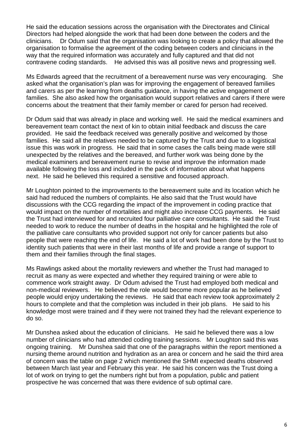He said the education sessions across the organisation with the Directorates and Clinical Directors had helped alongside the work that had been done between the coders and the clinicians. Dr Odum said that the organisation was looking to create a policy that allowed the organisation to formalise the agreement of the coding between coders and clinicians in the way that the required information was accurately and fully captured and that did not contravene coding standards. He advised this was all positive news and progressing well.

Ms Edwards agreed that the recruitment of a bereavement nurse was very encouraging. She asked what the organisation's plan was for improving the engagement of bereaved families and carers as per the learning from deaths guidance, in having the active engagement of families. She also asked how the organisation would support relatives and carers if there were concerns about the treatment that their family member or cared for person had received.

Dr Odum said that was already in place and working well. He said the medical examiners and bereavement team contact the next of kin to obtain initial feedback and discuss the care provided. He said the feedback received was generally positive and welcomed by those families. He said all the relatives needed to be captured by the Trust and due to a logistical issue this was work in progress. He said that in some cases the calls being made were still unexpected by the relatives and the bereaved, and further work was being done by the medical examiners and bereavement nurse to revise and improve the information made available following the loss and included in the pack of information about what happens next. He said he believed this required a sensitive and focused approach.

Mr Loughton pointed to the improvements to the bereavement suite and its location which he said had reduced the numbers of complaints. He also said that the Trust would have discussions with the CCG regarding the impact of the improvement in coding practice that would impact on the number of mortalities and might also increase CCG payments. He said the Trust had interviewed for and recruited four palliative care consultants. He said the Trust needed to work to reduce the number of deaths in the hospital and he highlighted the role of the palliative care consultants who provided support not only for cancer patients but also people that were reaching the end of life. He said a lot of work had been done by the Trust to identity such patients that were in their last months of life and provide a range of support to them and their families through the final stages.

Ms Rawlings asked about the mortality reviewers and whether the Trust had managed to recruit as many as were expected and whether they required training or were able to commence work straight away. Dr Odum advised the Trust had employed both medical and non-medical reviewers. He believed the role would become more popular as he believed people would enjoy undertaking the reviews. He said that each review took approximately 2 hours to complete and that the completion was included in their job plans. He said to his knowledge most were trained and if they were not trained they had the relevant experience to do so.

Mr Dunshea asked about the education of clinicians. He said he believed there was a low number of clinicians who had attended coding training sessions. Mr Loughton said this was ongoing training. Mr Dunshea said that one of the paragraphs within the report mentioned a nursing theme around nutrition and hydration as an area or concern and he said the third area of concern was the table on page 2 which mentioned the SHMI expected deaths observed between March last year and February this year. He said his concern was the Trust doing a lot of work on trying to get the numbers right but from a population, public and patient prospective he was concerned that was there evidence of sub optimal care.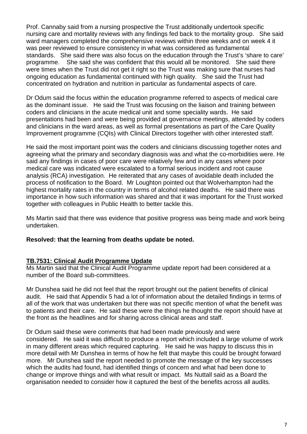Prof. Cannaby said from a nursing prospective the Trust additionally undertook specific nursing care and mortality reviews with any findings fed back to the mortality group. She said ward managers completed the comprehensive reviews within three weeks and on week 4 it was peer reviewed to ensure consistency in what was considered as fundamental standards. She said there was also focus on the education through the Trust's 'share to care' programme. She said she was confident that this would all be monitored. She said there were times when the Trust did not get it right so the Trust was making sure that nurses had ongoing education as fundamental continued with high quality. She said the Trust had concentrated on hydration and nutrition in particular as fundamental aspects of care.

Dr Odum said the focus within the education programme referred to aspects of medical care as the dominant issue. He said the Trust was focusing on the liaison and training between coders and clinicians in the acute medical unit and some speciality wards. He said presentations had been and were being provided at governance meetings, attended by coders and clinicians in the ward areas, as well as formal presentations as part of the Care Quality Improvement programme (CQIs) with Clinical Directors together with other interested staff.

He said the most important point was the coders and clinicians discussing together notes and agreeing what the primary and secondary diagnosis was and what the co-morbidities were. He said any findings in cases of poor care were relatively few and in any cases where poor medical care was indicated were escalated to a formal serious incident and root cause analysis (RCA) investigation. He reiterated that any cases of avoidable death included the process of notification to the Board. Mr Loughton pointed out that Wolverhampton had the highest mortality rates in the country in terms of alcohol related deaths. He said there was importance in how such information was shared and that it was important for the Trust worked together with colleagues in Public Health to better tackle this.

Ms Martin said that there was evidence that positive progress was being made and work being undertaken.

#### **Resolved: that the learning from deaths update be noted.**

## **TB.7531: Clinical Audit Programme Update**

Ms Martin said that the Clinical Audit Programme update report had been considered at a number of the Board sub-committees.

Mr Dunshea said he did not feel that the report brought out the patient benefits of clinical audit. He said that Appendix 5 had a lot of information about the detailed findings in terms of all of the work that was undertaken but there was not specific mention of what the benefit was to patients and their care. He said these were the things he thought the report should have at the front as the headlines and for sharing across clinical areas and staff.

Dr Odum said these were comments that had been made previously and were considered. He said it was difficult to produce a report which included a large volume of work in many different areas which required capturing. He said he was happy to discuss this in more detail with Mr Dunshea in terms of how he felt that maybe this could be brought forward more. Mr Dunshea said the report needed to promote the message of the key successes which the audits had found, had identified things of concern and what had been done to change or improve things and with what result or impact. Ms Nuttall said as a Board the organisation needed to consider how it captured the best of the benefits across all audits.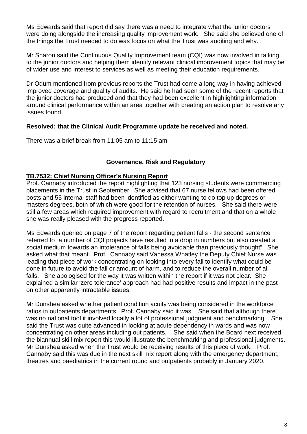Ms Edwards said that report did say there was a need to integrate what the junior doctors were doing alongside the increasing quality improvement work. She said she believed one of the things the Trust needed to do was focus on what the Trust was auditing and why.

Mr Sharon said the Continuous Quality Improvement team (CQI) was now involved in talking to the junior doctors and helping them identify relevant clinical improvement topics that may be of wider use and interest to services as well as meeting their education requirements.

Dr Odum mentioned from previous reports the Trust had come a long way in having achieved improved coverage and quality of audits. He said he had seen some of the recent reports that the junior doctors had produced and that they had been excellent in highlighting information around clinical performance within an area together with creating an action plan to resolve any issues found.

## **Resolved: that the Clinical Audit Programme update be received and noted.**

There was a brief break from 11:05 am to 11:15 am

## **Governance, Risk and Regulatory**

## **TB.7532: Chief Nursing Officer's Nursing Report**

Prof. Cannaby introduced the report highlighting that 123 nursing students were commencing placements in the Trust in September. She advised that 67 nurse fellows had been offered posts and 55 internal staff had been identified as either wanting to do top up degrees or masters degrees, both of which were good for the retention of nurses. She said there were still a few areas which required improvement with regard to recruitment and that on a whole she was really pleased with the progress reported.

Ms Edwards queried on page 7 of the report regarding patient falls - the second sentence referred to "a number of CQI projects have resulted in a drop in numbers but also created a social medium towards an intolerance of falls being avoidable than previously thought". She asked what that meant. Prof. Cannaby said Vanessa Whatley the Deputy Chief Nurse was leading that piece of work concentrating on looking into every fall to identify what could be done in future to avoid the fall or amount of harm, and to reduce the overall number of all falls. She apologised for the way it was written within the report if it was not clear. She explained a similar 'zero tolerance' approach had had positive results and impact in the past on other apparently intractable issues.

Mr Dunshea asked whether patient condition acuity was being considered in the workforce ratios in outpatients departments. Prof. Cannaby said it was. She said that although there was no national tool it involved locally a lot of professional judgment and benchmarking. She said the Trust was quite advanced in looking at acute dependency in wards and was now concentrating on other areas including out patients. She said when the Board next received the biannual skill mix report this would illustrate the benchmarking and professional judgments. Mr Dunshea asked when the Trust would be receiving results of this piece of work. Prof. Cannaby said this was due in the next skill mix report along with the emergency department, theatres and paediatrics in the current round and outpatients probably in January 2020.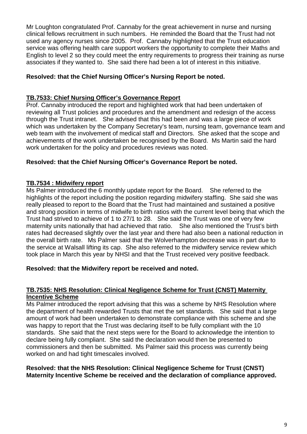Mr Loughton congratulated Prof. Cannaby for the great achievement in nurse and nursing clinical fellows recruitment in such numbers. He reminded the Board that the Trust had not used any agency nurses since 2005. Prof. Cannaby highlighted that the Trust education service was offering health care support workers the opportunity to complete their Maths and English to level 2 so they could meet the entry requirements to progress their training as nurse associates if they wanted to. She said there had been a lot of interest in this initiative.

## **Resolved: that the Chief Nursing Officer's Nursing Report be noted.**

## **TB.7533: Chief Nursing Officer's Governance Report**

Prof. Cannaby introduced the report and highlighted work that had been undertaken of reviewing all Trust policies and procedures and the amendment and redesign of the access through the Trust intranet. She advised that this had been and was a large piece of work which was undertaken by the Company Secretary's team, nursing team, governance team and web team with the involvement of medical staff and Directors. She asked that the scope and achievements of the work undertaken be recognised by the Board. Ms Martin said the hard work undertaken for the policy and procedures reviews was noted.

## **Resolved: that the Chief Nursing Officer's Governance Report be noted.**

## **TB.7534 : Midwifery report**

Ms Palmer introduced the 6 monthly update report for the Board. She referred to the highlights of the report including the position regarding midwifery staffing. She said she was really pleased to report to the Board that the Trust had maintained and sustained a positive and strong position in terms of midwife to birth ratios with the current level being that which the Trust had strived to achieve of 1 to 27/1 to 28. She said the Trust was one of very few maternity units nationally that had achieved that ratio. She also mentioned the Trust's birth rates had decreased slightly over the last year and there had also been a national reduction in the overall birth rate. Ms Palmer said that the Wolverhampton decrease was in part due to the service at Walsall lifting its cap. She also referred to the midwifery service review which took place in March this year by NHSI and that the Trust received very positive feedback.

## **Resolved: that the Midwifery report be received and noted.**

### **TB.7535: NHS Resolution: Clinical Negligence Scheme for Trust (CNST) Maternity Incentive Scheme**

Ms Palmer introduced the report advising that this was a scheme by NHS Resolution where the department of health rewarded Trusts that met the set standards. She said that a large amount of work had been undertaken to demonstrate compliance with this scheme and she was happy to report that the Trust was declaring itself to be fully compliant with the 10 standards. She said that the next steps were for the Board to acknowledge the intention to declare being fully compliant. She said the declaration would then be presented to commissioners and then be submitted. Ms Palmer said this process was currently being worked on and had tight timescales involved.

### **Resolved: that the NHS Resolution: Clinical Negligence Scheme for Trust (CNST) Maternity Incentive Scheme be received and the declaration of compliance approved.**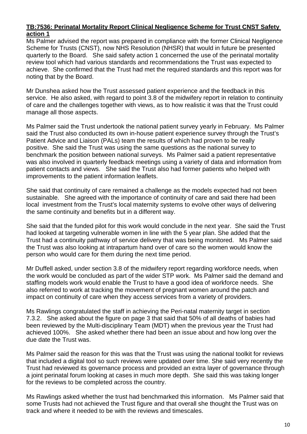### **TB:7536: Perinatal Mortality Report Clinical Negligence Scheme for Trust CNST Safety action 1**

Ms Palmer advised the report was prepared in compliance with the former Clinical Negligence Scheme for Trusts (CNST), now NHS Resolution (NHSR) that would in future be presented quarterly to the Board. She said safety action 1 concerned the use of the perinatal mortality review tool which had various standards and recommendations the Trust was expected to achieve. She confirmed that the Trust had met the required standards and this report was for noting that by the Board.

Mr Dunshea asked how the Trust assessed patient experience and the feedback in this service. He also asked, with regard to point 3.8 of the midwifery report in relation to continuity of care and the challenges together with views, as to how realistic it was that the Trust could manage all those aspects.

Ms Palmer said the Trust undertook the national patient survey yearly in February. Ms Palmer said the Trust also conducted its own in-house patient experience survey through the Trust's Patient Advice and Liaison (PALs) team the results of which had proven to be really positive. She said the Trust was using the same questions as the national survey to benchmark the position between national surveys. Ms Palmer said a patient representative was also involved in quarterly feedback meetings using a variety of data and information from patient contacts and views. She said the Trust also had former patients who helped with improvements to the patient information leaflets.

She said that continuity of care remained a challenge as the models expected had not been sustainable. She agreed with the importance of continuity of care and said there had been local investment from the Trust's local maternity systems to evolve other ways of delivering the same continuity and benefits but in a different way.

She said that the funded pilot for this work would conclude in the next year. She said the Trust had looked at targeting vulnerable women in line with the 5 year plan. She added that the Trust had a continuity pathway of service delivery that was being monitored. Ms Palmer said the Trust was also looking at intrapartum hand over of care so the women would know the person who would care for them during the next time period.

Mr Duffell asked, under section 3.8 of the midwifery report regarding workforce needs, when the work would be concluded as part of the wider STP work. Ms Palmer said the demand and staffing models work would enable the Trust to have a good idea of workforce needs. She also referred to work at tracking the movement of pregnant women around the patch and impact on continuity of care when they access services from a variety of providers.

Ms Rawlings congratulated the staff in achieving the Peri-natal maternity target in section 7.3.2. She asked about the figure on page 3 that said that 50% of all deaths of babies had been reviewed by the Multi-disciplinary Team (MDT) when the previous year the Trust had achieved 100%. She asked whether there had been an issue about and how long over the due date the Trust was.

Ms Palmer said the reason for this was that the Trust was using the national toolkit for reviews that included a digital tool so such reviews were updated over time. She said very recently the Trust had reviewed its governance process and provided an extra layer of governance through a joint perinatal forum looking at cases in much more depth. She said this was taking longer for the reviews to be completed across the country.

Ms Rawlings asked whether the trust had benchmarked this information. Ms Palmer said that some Trusts had not achieved the Trust figure and that overall she thought the Trust was on track and where it needed to be with the reviews and timescales.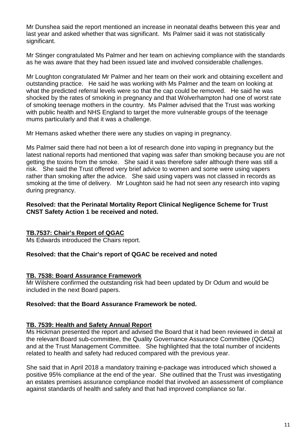Mr Dunshea said the report mentioned an increase in neonatal deaths between this year and last year and asked whether that was significant. Ms Palmer said it was not statistically significant.

Mr Stinger congratulated Ms Palmer and her team on achieving compliance with the standards as he was aware that they had been issued late and involved considerable challenges.

Mr Loughton congratulated Mr Palmer and her team on their work and obtaining excellent and outstanding practice. He said he was working with Ms Palmer and the team on looking at what the predicted referral levels were so that the cap could be removed. He said he was shocked by the rates of smoking in pregnancy and that Wolverhampton had one of worst rate of smoking teenage mothers in the country. Ms Palmer advised that the Trust was working with public health and NHS England to target the more vulnerable groups of the teenage mums particularly and that it was a challenge.

Mr Hemans asked whether there were any studies on vaping in pregnancy.

Ms Palmer said there had not been a lot of research done into vaping in pregnancy but the latest national reports had mentioned that vaping was safer than smoking because you are not getting the toxins from the smoke. She said it was therefore safer although there was still a risk. She said the Trust offered very brief advice to women and some were using vapers rather than smoking after the advice. She said using vapers was not classed in records as smoking at the time of delivery. Mr Loughton said he had not seen any research into vaping during pregnancy.

#### **Resolved: that the Perinatal Mortality Report Clinical Negligence Scheme for Trust CNST Safety Action 1 be received and noted.**

## **TB.7537: Chair's Report of QGAC**

Ms Edwards introduced the Chairs report.

#### **Resolved: that the Chair's report of QGAC be received and noted**

#### **TB. 7538: Board Assurance Framework**

Mr Wilshere confirmed the outstanding risk had been updated by Dr Odum and would be included in the next Board papers.

#### **Resolved: that the Board Assurance Framework be noted.**

#### **TB. 7539: Health and Safety Annual Report**

Ms Hickman presented the report and advised the Board that it had been reviewed in detail at the relevant Board sub-committee, the Quality Governance Assurance Committee (QGAC) and at the Trust Management Committee. She highlighted that the total number of incidents related to health and safety had reduced compared with the previous year.

She said that in April 2018 a mandatory training e-package was introduced which showed a positive 95% compliance at the end of the year. She outlined that the Trust was investigating an estates premises assurance compliance model that involved an assessment of compliance against standards of health and safety and that had improved compliance so far.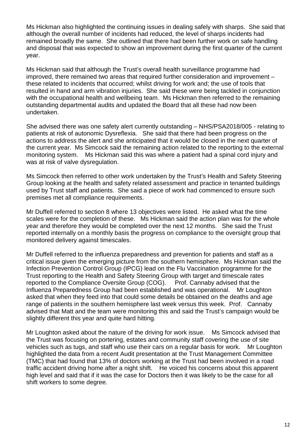Ms Hickman also highlighted the continuing issues in dealing safely with sharps. She said that although the overall number of incidents had reduced, the level of sharps incidents had remained broadly the same. She outlined that there had been further work on safe handling and disposal that was expected to show an improvement during the first quarter of the current year.

Ms Hickman said that although the Trust's overall health surveillance programme had improved, there remained two areas that required further consideration and improvement – these related to incidents that occurred; whilst driving for work and; the use of tools that resulted in hand and arm vibration injuries. She said these were being tackled in conjunction with the occupational health and wellbeing team. Ms Hickman then referred to the remaining outstanding departmental audits and updated the Board that all these had now been undertaken.

She advised there was one safety alert currently outstanding – NHS/PSA2018/005 - relating to patients at risk of autonomic Dysreflexia. She said that there had been progress on the actions to address the alert and she anticipated that it would be closed in the next quarter of the current year. Ms Simcock said the remaining action related to the reporting to the external monitoring system. Ms Hickman said this was where a patient had a spinal cord injury and was at risk of valve dysregulation.

Ms Simcock then referred to other work undertaken by the Trust's Health and Safety Steering Group looking at the health and safety related assessment and practice in tenanted buildings used by Trust staff and patients. She said a piece of work had commenced to ensure such premises met all compliance requirements.

Mr Duffell referred to section 8 where 13 objectives were listed. He asked what the time scales were for the completion of these. Ms Hickman said the action plan was for the whole year and therefore they would be completed over the next 12 months. She said the Trust reported internally on a monthly basis the progress on compliance to the oversight group that monitored delivery against timescales.

Mr Duffell referred to the influenza preparedness and prevention for patients and staff as a critical issue given the emerging picture from the southern hemisphere. Ms Hickman said the Infection Prevention Control Group (IPCG) lead on the Flu Vaccination programme for the Trust reporting to the Health and Safety Steering Group with target and timescale rates reported to the Compliance Oversite Group (COG). Prof. Cannaby advised that the Influenza Preparedness Group had been established and was operational. Mr Loughton asked that when they feed into that could some details be obtained on the deaths and age range of patients in the southern hemisphere last week versus this week. Prof. Cannaby advised that Matt and the team were monitoring this and said the Trust's campaign would be slightly different this year and quite hard hitting.

Mr Loughton asked about the nature of the driving for work issue. Ms Simcock advised that the Trust was focusing on portering, estates and community staff covering the use of site vehicles such as tugs, and staff who use their cars on a regular basis for work. Mr Loughton highlighted the data from a recent Audit presentation at the Trust Management Committee (TMC) that had found that 13% of doctors working at the Trust had been involved in a road traffic accident driving home after a night shift. He voiced his concerns about this apparent high level and said that if it was the case for Doctors then it was likely to be the case for all shift workers to some degree.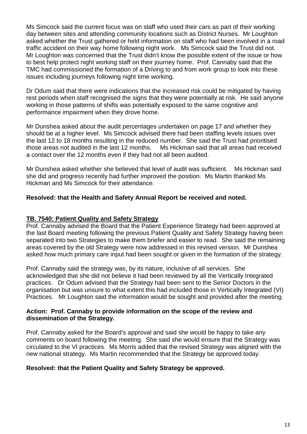Ms Simcock said the current focus was on staff who used their cars as part of their working day between sites and attending community locations such as District Nurses. Mr Loughton asked whether the Trust gathered or held information on staff who had been involved in a road traffic accident on their way home following night work. Ms Simcock said the Trust did not. Mr Loughton was concerned that the Trust didn't know the possible extent of the issue or how to best help protect night working staff on their journey home. Prof. Cannaby said that the TMC had commissioned the formation of a Driving to and from work group to look into these issues including journeys following night time working.

Dr Odum said that there were indications that the increased risk could be mitigated by having rest periods when staff recognised the signs that they were potentially at risk. He said anyone working in those patterns of shifts was potentially exposed to the same cognitive and performance impairment when they drove home.

Mr Dunshea asked about the audit percentages undertaken on page 17 and whether they should be at a higher level. Ms Simcock advised there had been staffing levels issues over the last 12 to 18 months resulting in the reduced number. She said the Trust had prioritised those areas not audited in the last 12 months. Ms Hickman said that all areas had received a contact over the 12 months even if they had not all been audited.

Mr Dunshea asked whether she believed that level of audit was sufficient. Ms Hickman said she did and progress recently had further improved the position. Ms Martin thanked Ms Hickman and Ms Simcock for their attendance.

## **Resolved: that the Health and Safety Annual Report be received and noted.**

## **TB. 7540: Patient Quality and Safety Strategy**

Prof. Cannaby advised the Board that the Patient Experience Strategy had been approved at the last Board meeting following the previous Patient Quality and Safety Strategy having been separated into two Strategies to make them briefer and easier to read. She said the remaining areas covered by the old Strategy were now addressed in this revised version. Mr Dunshea asked how much primary care input had been sought or given in the formation of the strategy.

Prof. Cannaby said the strategy was, by its nature, inclusive of all services. She acknowledged that she did not believe it had been reviewed by all the Vertically Integrated practices. Dr Odum advised that the Strategy had been sent to the Senior Doctors in the organisation but was unsure to what extent this had included those in Vertically Integrated (VI) Practices. Mr Loughton said the information would be sought and provided after the meeting.

#### **Action: Prof. Cannaby to provide information on the scope of the review and dissemination of the Strategy.**

Prof. Cannaby asked for the Board's approval and said she would be happy to take any comments on board following the meeting. She said she would ensure that the Strategy was circulated to the VI practices. Ms Morris added that the revised Strategy was aligned with the new national strategy. Ms Martin recommended that the Strategy be approved today.

#### **Resolved: that the Patient Quality and Safety Strategy be approved.**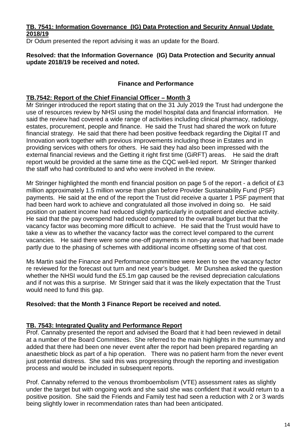## **TB. 7541: Information Governance (IG) Data Protection and Security Annual Update 2018/19**

Dr Odum presented the report advising it was an update for the Board.

#### **Resolved: that the Information Governance (IG) Data Protection and Security annual update 2018/19 be received and noted.**

## **Finance and Performance**

## **TB.7542: Report of the Chief Financial Officer – Month 3**

Mr Stringer introduced the report stating that on the 31 July 2019 the Trust had undergone the use of resources review by NHSI using the model hospital data and financial information. He said the review had covered a wide range of activities including clinical pharmacy, radiology, estates, procurement, people and finance. He said the Trust had shared the work on future financial strategy. He said that there had been positive feedback regarding the Digital IT and Innovation work together with previous improvements including those in Estates and in providing services with others for others. He said they had also been impressed with the external financial reviews and the Getting it right first time (GiRFT) areas. He said the draft report would be provided at the same time as the CQC well-led report. Mr Stringer thanked the staff who had contributed to and who were involved in the review.

Mr Stringer highlighted the month end financial position on page 5 of the report - a deficit of £3 million approximately 1.5 million worse than plan before Provider Sustainability Fund (PSF) payments. He said at the end of the report the Trust did receive a quarter 1 PSF payment that had been hard work to achieve and congratulated all those involved in doing so. He said position on patient income had reduced slightly particularly in outpatient and elective activity. He said that the pay overspend had reduced compared to the overall budget but that the vacancy factor was becoming more difficult to achieve. He said that the Trust would have to take a view as to whether the vacancy factor was the correct level compared to the current vacancies. He said there were some one-off payments in non-pay areas that had been made partly due to the phasing of schemes with additional income offsetting some of that cost.

Ms Martin said the Finance and Performance committee were keen to see the vacancy factor re reviewed for the forecast out turn and next year's budget. Mr Dunshea asked the question whether the NHSI would fund the £5.1m gap caused be the revised depreciation calculations and if not was this a surprise. Mr Stringer said that it was the likely expectation that the Trust would need to fund this gap.

#### **Resolved: that the Month 3 Finance Report be received and noted.**

## **TB. 7543: Integrated Quality and Performance Report**

Prof. Cannaby presented the report and advised the Board that it had been reviewed in detail at a number of the Board Committees. She referred to the main highlights in the summary and added that there had been one never event after the report had been prepared regarding an anaesthetic block as part of a hip operation. There was no patient harm from the never event just potential distress. She said this was progressing through the reporting and investigation process and would be included in subsequent reports.

Prof. Cannaby referred to the venous thromboembolism (VTE) assessment rates as slightly under the target but with ongoing work and she said she was confident that it would return to a positive position. She said the Friends and Family test had seen a reduction with 2 or 3 wards being slightly lower in recommendation rates than had been anticipated.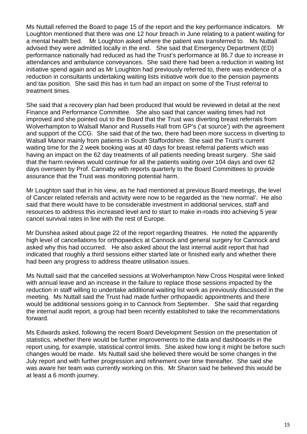Ms Nuttall referred the Board to page 15 of the report and the key performance indicators. Mr Loughton mentioned that there was one 12 hour breach in June relating to a patient waiting for a mental health bed. Mr Loughton asked where the patient was transferred to. Ms Nuttall advised they were admitted locally in the end. She said that Emergency Department (ED) performance nationally had reduced as had the Trust's performance at 86.7 due to increase in attendances and ambulance conveyances. She said there had been a reduction in waiting list initiative spend again and as Mr Loughton had previously referred to, there was evidence of a reduction in consultants undertaking waiting lists initiative work due to the pension payments and tax position. She said this has in turn had an impact on some of the Trust referral to treatment times.

She said that a recovery plan had been produced that would be reviewed in detail at the next Finance and Performance Committee. She also said that cancer waiting times had not improved and she pointed out to the Board that the Trust was diverting breast referrals from Wolverhampton to Walsall Manor and Russells Hall from GP's ('at source') with the agreement and support of the CCG. She said that of the two, there had been more success in diverting to Walsall Manor mainly from patients in South Staffordshire. She said the Trust's current waiting time for the 2 week booking was at 40 days for breast referral patients which was having an impact on the 62 day treatments of all patients needing breast surgery. She said that the harm reviews would continue for all the patients waiting over 104 days and over 62 days overseen by Prof. Cannaby with reports quarterly to the Board Committees to provide assurance that the Trust was monitoring potential harm.

Mr Loughton said that in his view, as he had mentioned at previous Board meetings, the level of Cancer related referrals and activity were now to be regarded as the 'new normal'. He also said that there would have to be considerable investment in additional services, staff and resources to address this increased level and to start to make in-roads into achieving 5 year cancel survival rates in line with the rest of Europe.

Mr Dunshea asked about page 22 of the report regarding theatres. He noted the apparently high level of cancellations for orthopaedics at Cannock and general surgery for Cannock and asked why this had occurred. He also asked about the last internal audit report that had indicated that roughly a third sessions either started late or finished early and whether there had been any progress to address theatre utilisation issues.

Ms Nuttall said that the cancelled sessions at Wolverhampton New Cross Hospital were linked with annual leave and an increase in the failure to replace those sessions impacted by the reduction in staff willing to undertake additional waiting list work as previously discussed in the meeting. Ms Nuttall said the Trust had made further orthopaedic appointments and there would be additional sessions going in to Cannock from September. She said that regarding the internal audit report, a group had been recently established to take the recommendations forward.

Ms Edwards asked, following the recent Board Development Session on the presentation of statistics, whether there would be further improvements to the data and dashboards in the report using, for example, statistical control limits. She asked how long it might be before such changes would be made. Ms Nuttall said she believed there would be some changes in the July report and with further progression and refinement over time thereafter. She said she was aware her team was currently working on this. Mr Sharon said he believed this would be at least a 6 month journey.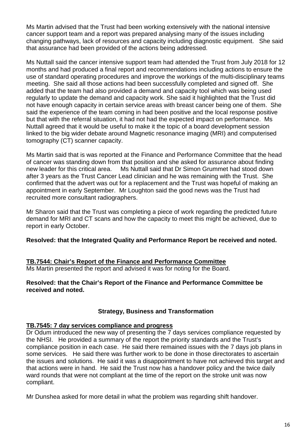Ms Martin advised that the Trust had been working extensively with the national intensive cancer support team and a report was prepared analysing many of the issues including changing pathways, lack of resources and capacity including diagnostic equipment. She said that assurance had been provided of the actions being addressed.

Ms Nuttall said the cancer intensive support team had attended the Trust from July 2018 for 12 months and had produced a final report and recommendations including actions to ensure the use of standard operating procedures and improve the workings of the multi-disciplinary teams meeting. She said all those actions had been successfully completed and signed off. She added that the team had also provided a demand and capacity tool which was being used regularly to update the demand and capacity work. She said it highlighted that the Trust did not have enough capacity in certain service areas with breast cancer being one of them. She said the experience of the team coming in had been positive and the local response positive but that with the referral situation, it had not had the expected impact on performance. Ms Nuttall agreed that it would be useful to make it the topic of a board development session linked to the big wider debate around Magnetic resonance imaging (MRI) and computerised tomography (CT) scanner capacity.

Ms Martin said that is was reported at the Finance and Performance Committee that the head of cancer was standing down from that position and she asked for assurance about finding new leader for this critical area. Ms Nuttall said that Dr Simon Grummet had stood down after 3 years as the Trust Cancer Lead clinician and he was remaining with the Trust. She confirmed that the advert was out for a replacement and the Trust was hopeful of making an appointment in early September. Mr Loughton said the good news was the Trust had recruited more consultant radiographers.

Mr Sharon said that the Trust was completing a piece of work regarding the predicted future demand for MRI and CT scans and how the capacity to meet this might be achieved, due to report in early October.

## **Resolved: that the Integrated Quality and Performance Report be received and noted.**

## **TB.7544: Chair's Report of the Finance and Performance Committee**

Ms Martin presented the report and advised it was for noting for the Board.

#### **Resolved: that the Chair's Report of the Finance and Performance Committee be received and noted.**

## **Strategy, Business and Transformation**

#### **TB.7545: 7 day services compliance and progress**

Dr Odum introduced the new way of presenting the 7 days services compliance requested by the NHSI. He provided a summary of the report the priority standards and the Trust's compliance position in each case. He said there remained issues with the 7 days job plans in some services. He said there was further work to be done in those directorates to ascertain the issues and solutions. He said it was a disappointment to have not achieved this target and that actions were in hand. He said the Trust now has a handover policy and the twice daily ward rounds that were not compliant at the time of the report on the stroke unit was now compliant.

Mr Dunshea asked for more detail in what the problem was regarding shift handover.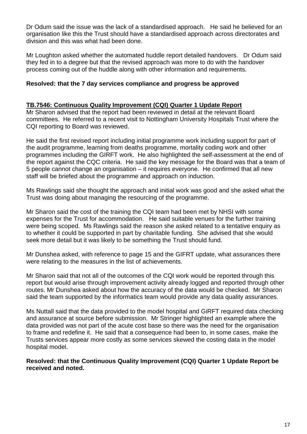Dr Odum said the issue was the lack of a standardised approach. He said he believed for an organisation like this the Trust should have a standardised approach across directorates and division and this was what had been done.

Mr Loughton asked whether the automated huddle report detailed handovers. Dr Odum said they fed in to a degree but that the revised approach was more to do with the handover process coming out of the huddle along with other information and requirements.

### **Resolved: that the 7 day services compliance and progress be approved**

#### **TB.7546: Continuous Quality Improvement (CQI) Quarter 1 Update Report**

Mr Sharon advised that the report had been reviewed in detail at the relevant Board committees. He referred to a recent visit to Nottingham University Hospitals Trust where the CQI reporting to Board was reviewed.

He said the first revised report including initial programme work including support for part of the audit programme, learning from deaths programme, mortality coding work and other programmes including the GIRFT work. He also highlighted the self-assessment at the end of the report against the CQC criteria. He said the key message for the Board was that a team of 5 people cannot change an organisation – it requires everyone. He confirmed that all new staff will be briefed about the programme and approach on induction.

Ms Rawlings said she thought the approach and initial work was good and she asked what the Trust was doing about managing the resourcing of the programme.

Mr Sharon said the cost of the training the CQI team had been met by NHSI with some expenses for the Trust for accommodation. He said suitable venues for the further training were being scoped. Ms Rawlings said the reason she asked related to a tentative enquiry as to whether it could be supported in part by charitable funding. She advised that she would seek more detail but it was likely to be something the Trust should fund.

Mr Dunshea asked, with reference to page 15 and the GIFRT update, what assurances there were relating to the measures in the list of achievements.

Mr Sharon said that not all of the outcomes of the CQI work would be reported through this report but would arise through improvement activity already logged and reported through other routes. Mr Dunshea asked about how the accuracy of the data would be checked. Mr Sharon said the team supported by the informatics team would provide any data quality assurances.

Ms Nuttall said that the data provided to the model hospital and GiRFT required data checking and assurance at source before submission. Mr Stringer highlighted an example where the data provided was not part of the acute cost base so there was the need for the organisation to frame and redefine it. He said that a consequence had been to, in some cases, make the Trusts services appear more costly as some services skewed the costing data in the model hospital model.

**Resolved: that the Continuous Quality Improvement (CQI) Quarter 1 Update Report be received and noted.**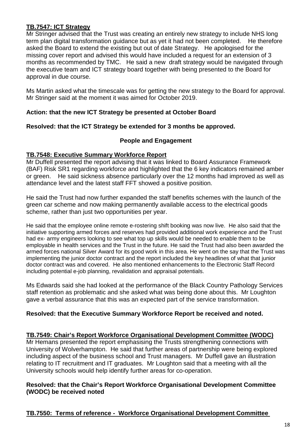## **TB.7547: ICT Strategy**

Mr Stringer advised that the Trust was creating an entirely new strategy to include NHS long term plan digital transformation guidance but as yet it had not been completed. He therefore asked the Board to extend the existing but out of date Strategy. He apologised for the missing cover report and advised this would have included a request for an extension of 3 months as recommended by TMC. He said a new draft strategy would be navigated through the executive team and ICT strategy board together with being presented to the Board for approval in due course.

Ms Martin asked what the timescale was for getting the new strategy to the Board for approval. Mr Stringer said at the moment it was aimed for October 2019.

### **Action: that the new ICT Strategy be presented at October Board**

### **Resolved: that the ICT Strategy be extended for 3 months be approved.**

#### **People and Engagement**

#### **TB.7548: Executive Summary Workforce Report**

Mr Duffell presented the report advising that it was linked to Board Assurance Framework (BAF) Risk SR1 regarding workforce and highlighted that the 6 key indicators remained amber or green. He said sickness absence particularly over the 12 months had improved as well as attendance level and the latest staff FFT showed a positive position.

He said the Trust had now further expanded the staff benefits schemes with the launch of the green car scheme and now making permanently available access to the electrical goods scheme, rather than just two opportunities per year.

He said that the employee online remote e-rostering shift booking was now live. He also said that the initiative supporting armed forces and reserves had provided additional work experience and the Trust had ex- army engineers looking to see what top up skills would be needed to enable them to be employable in health services and the Trust in the future. He said the Trust had also been awarded the armed forces national Silver Award for its good work in this area. He went on the say that the Trust was implementing the junior doctor contract and the report included the key headlines of what that junior doctor contract was and covered. He also mentioned enhancements to the Electronic Staff Record including potential e-job planning, revalidation and appraisal potentials.

Ms Edwards said she had looked at the performance of the Black Country Pathology Services staff retention as problematic and she asked what was being done about this. Mr Loughton gave a verbal assurance that this was an expected part of the service transformation.

## **Resolved: that the Executive Summary Workforce Report be received and noted.**

#### **TB.7549: Chair's Report Workforce Organisational Development Committee (WODC)**

Mr Hemans presented the report emphasising the Trusts strengthening connections with University of Wolverhampton. He said that further areas of partnership were being explored including aspect of the business school and Trust managers. Mr Duffell gave an illustration relating to IT recruitment and IT graduates. Mr Loughton said that a meeting with all the University schools would help identify further areas for co-operation.

### **Resolved: that the Chair's Report Workforce Organisational Development Committee (WODC) be received noted**

#### **TB.7550: Terms of reference - Workforce Organisational Development Committee**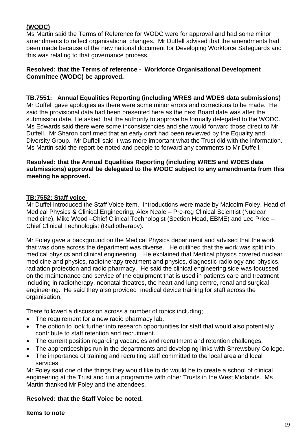## **(WODC)**

Ms Martin said the Terms of Reference for WODC were for approval and had some minor amendments to reflect organisational changes. Mr Duffell advised that the amendments had been made because of the new national document for Developing Workforce Safeguards and this was relating to that governance process.

## **Resolved: that the Terms of reference - Workforce Organisational Development Committee (WODC) be approved.**

### **TB.7551: Annual Equalities Reporting (including WRES and WDES data submissions)**

Mr Duffell gave apologies as there were some minor errors and corrections to be made. He said the provisional data had been presented here as the next Board date was after the submission date. He asked that the authority to approve be formally delegated to the WODC. Ms Edwards said there were some inconsistencies and she would forward those direct to Mr Duffell. Mr Sharon confirmed that an early draft had been reviewed by the Equality and Diversity Group. Mr Duffell said it was more important what the Trust did with the information. Ms Martin said the report be noted and people to forward any comments to Mr Duffell.

#### **Resolved: that the Annual Equalities Reporting (including WRES and WDES data submissions) approval be delegated to the WODC subject to any amendments from this meeting be approved.**

### **TB:7552: Staff voice**

Mr Duffel introduced the Staff Voice item. Introductions were made by Malcolm Foley, Head of Medical Physics & Clinical Engineering, Alex Neale – Pre-reg Clinical Scientist (Nuclear medicine), Mike Wood –Chief Clinical Technologist (Section Head, EBME) and Lee Price – Chief Clinical Technologist (Radiotherapy).

Mr Foley gave a background on the Medical Physics department and advised that the work that was done across the department was diverse. He outlined that the work was split into medical physics and clinical engineering. He explained that Medical physics covered nuclear medicine and physics, radiotherapy treatment and physics, diagnostic radiology and physics, radiation protection and radio pharmacy. He said the clinical engineering side was focussed on the maintenance and service of the equipment that is used in patients care and treatment including in radiotherapy, neonatal theatres, the heart and lung centre, renal and surgical engineering. He said they also provided medical device training for staff across the organisation.

There followed a discussion across a number of topics including;

- The requirement for a new radio pharmacy lab.
- The option to look further into research opportunities for staff that would also potentially contribute to staff retention and recruitment.
- The current position regarding vacancies and recruitment and retention challenges.
- The apprenticeships run in the departments and developing links with Shrewsbury College.
- The importance of training and recruiting staff committed to the local area and local services.

Mr Foley said one of the things they would like to do would be to create a school of clinical engineering at the Trust and run a programme with other Trusts in the West Midlands. Ms Martin thanked Mr Foley and the attendees.

#### **Resolved: that the Staff Voice be noted.**

#### **Items to note**